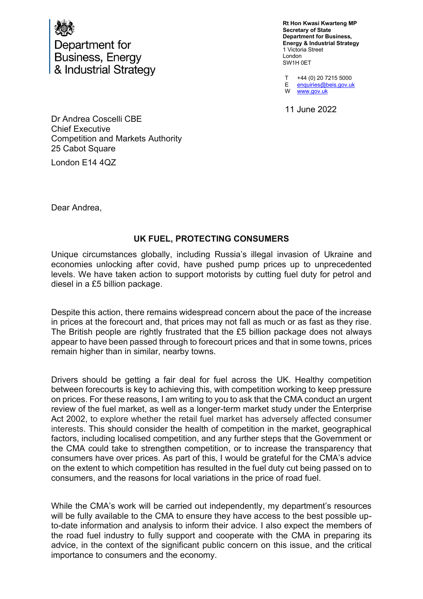

Department for **Business, Energy** & Industrial Strategy

**Rt Hon Kwasi Kwarteng MP Secretary of State Department for Business, Energy & Industrial Strategy** 1 Victoria Street London SW1H 0ET

T E W +44 (0) 20 7215 5000 enquiries@beis.gov.uk www.gov.uk

11 June 2022

Dr Andrea Coscelli CBE Chief Executive Competition and Markets Authority 25 Cabot Square

London E14 4QZ

Dear Andrea,

## **UK FUEL, PROTECTING CONSUMERS**

Unique circumstances globally, including Russia's illegal invasion of Ukraine and economies unlocking after covid, have pushed pump prices up to unprecedented levels. We have taken action to support motorists by cutting fuel duty for petrol and diesel in a £5 billion package.

Despite this action, there remains widespread concern about the pace of the increase in prices at the forecourt and, that prices may not fall as much or as fast as they rise. The British people are rightly frustrated that the £5 billion package does not always appear to have been passed through to forecourt prices and that in some towns, prices remain higher than in similar, nearby towns.

Drivers should be getting a fair deal for fuel across the UK. Healthy competition between forecourts is key to achieving this, with competition working to keep pressure on prices. For these reasons, I am writing to you to ask that the CMA conduct an urgent review of the fuel market, as well as a longer-term market study under the Enterprise Act 2002, to explore whether the retail fuel market has adversely affected consumer interests. This should consider the health of competition in the market, geographical factors, including localised competition, and any further steps that the Government or the CMA could take to strengthen competition, or to increase the transparency that consumers have over prices. As part of this, I would be grateful for the CMA's advice on the extent to which competition has resulted in the fuel duty cut being passed on to consumers, and the reasons for local variations in the price of road fuel.

While the CMA's work will be carried out independently, my department's resources will be fully available to the CMA to ensure they have access to the best possible upto-date information and analysis to inform their advice. I also expect the members of the road fuel industry to fully support and cooperate with the CMA in preparing its advice, in the context of the significant public concern on this issue, and the critical importance to consumers and the economy.